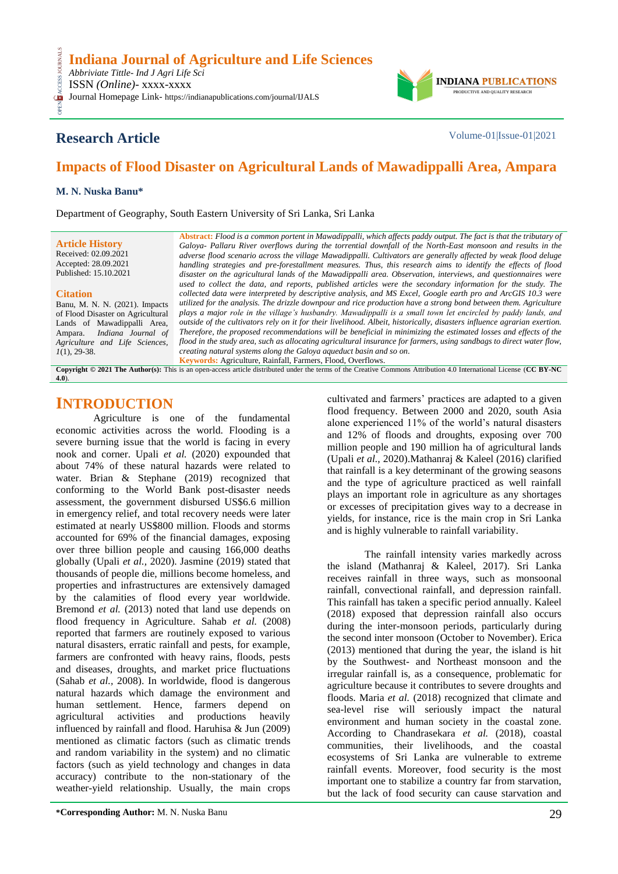

# **Research Article** Volume-01|Issue-01|2021

# **Impacts of Flood Disaster on Agricultural Lands of Mawadippalli Area, Ampara**

### **M. N. Nuska Banu\***

Department of Geography, South Eastern University of Sri Lanka, Sri Lanka

**Article History** Received: 02.09.2021 Accepted: 28.09.2021 Published: 15.10.2021

#### **Citation**

CESS

Banu, M. N. N. (2021). Impacts of Flood Disaster on Agricultural Lands of Mawadippalli Area, Ampara. *Indiana Journal of Agriculture and Life Sciences, 1*(1), 29-38.

**Abstract:** *Flood is a common portent in Mawadippalli, which affects paddy output. The fact is that the tributary of Galoya- Pallaru River overflows during the torrential downfall of the North-East monsoon and results in the adverse flood scenario across the village Mawadippalli. Cultivators are generally affected by weak flood deluge handling strategies and pre-forestallment measures. Thus, this research aims to identify the effects of flood disaster on the agricultural lands of the Mawadippalli area. Observation, interviews, and questionnaires were used to collect the data, and reports, published articles were the secondary information for the study. The collected data were interpreted by descriptive analysis, and MS Excel, Google earth pro and ArcGIS 10.3 were utilized for the analysis. The drizzle downpour and rice production have a strong bond between them. Agriculture plays a major role in the village's husbandry. Mawadippalli is a small town let encircled by paddy lands, and outside of the cultivators rely on it for their livelihood. Albeit, historically, disasters influence agrarian exertion. Therefore, the proposed recommendations will be beneficial in minimizing the estimated losses and effects of the flood in the study area, such as allocating agricultural insurance for farmers, using sandbags to direct water flow, creating natural systems along the Galoya aqueduct basin and so on*. **Keywords:** Agriculture, Rainfall, Farmers, Flood, Overflows.

**Copyright © 2021 The Author(s):** This is an open-access article distributed under the terms of the Creative Commons Attribution 4.0 International License (**[CC BY-NC](https://creativecommons.org/licenses/by-nc/4.0/)  [4.0](https://creativecommons.org/licenses/by-nc/4.0/)**).

## **INTRODUCTION**

Agriculture is one of the fundamental economic activities across the world. Flooding is a severe burning issue that the world is facing in every nook and corner. Upali *et al.* (2020) expounded that about 74% of these natural hazards were related to water. Brian & Stephane (2019) recognized that conforming to the World Bank post-disaster needs assessment, the government disbursed US\$6.6 million in emergency relief, and total recovery needs were later estimated at nearly US\$800 million. Floods and storms accounted for 69% of the financial damages, exposing over three billion people and causing 166,000 deaths globally (Upali *et al.,* 2020). Jasmine (2019) stated that thousands of people die, millions become homeless, and properties and infrastructures are extensively damaged by the calamities of flood every year worldwide. Bremond *et al.* (2013) noted that land use depends on flood frequency in Agriculture. Sahab *et al.* (2008) reported that farmers are routinely exposed to various natural disasters, erratic rainfall and pests, for example, farmers are confronted with heavy rains, floods, pests and diseases, droughts, and market price fluctuations (Sahab *et al.,* 2008). In worldwide, flood is dangerous natural hazards which damage the environment and human settlement. Hence, farmers depend on agricultural activities and productions heavily influenced by rainfall and flood. Haruhisa & Jun (2009) mentioned as climatic factors (such as climatic trends and random variability in the system) and no climatic factors (such as yield technology and changes in data accuracy) contribute to the non-stationary of the weather-yield relationship. Usually, the main crops

cultivated and farmers' practices are adapted to a given flood frequency. Between 2000 and 2020, south Asia alone experienced 11% of the world's natural disasters and 12% of floods and droughts, exposing over 700 million people and 190 million ha of agricultural lands (Upali *et al.,* 2020).Mathanraj & Kaleel (2016) clarified that rainfall is a key determinant of the growing seasons and the type of agriculture practiced as well rainfall plays an important role in agriculture as any shortages or excesses of precipitation gives way to a decrease in yields, for instance, rice is the main crop in Sri Lanka and is highly vulnerable to rainfall variability.

The rainfall intensity varies markedly across the island (Mathanraj & Kaleel, 2017). Sri Lanka receives rainfall in three ways, such as monsoonal rainfall, convectional rainfall, and depression rainfall. This rainfall has taken a specific period annually. Kaleel (2018) exposed that depression rainfall also occurs during the inter-monsoon periods, particularly during the second inter monsoon (October to November). Erica (2013) mentioned that during the year, the island is hit by the Southwest- and Northeast monsoon and the irregular rainfall is, as a consequence, problematic for agriculture because it contributes to severe droughts and floods. Maria *et al.* (2018) recognized that climate and sea-level rise will seriously impact the natural environment and human society in the coastal zone. According to Chandrasekara *et al.* (2018), coastal communities, their livelihoods, and the coastal ecosystems of Sri Lanka are vulnerable to extreme rainfall events. Moreover, food security is the most important one to stabilize a country far from starvation, but the lack of food security can cause starvation and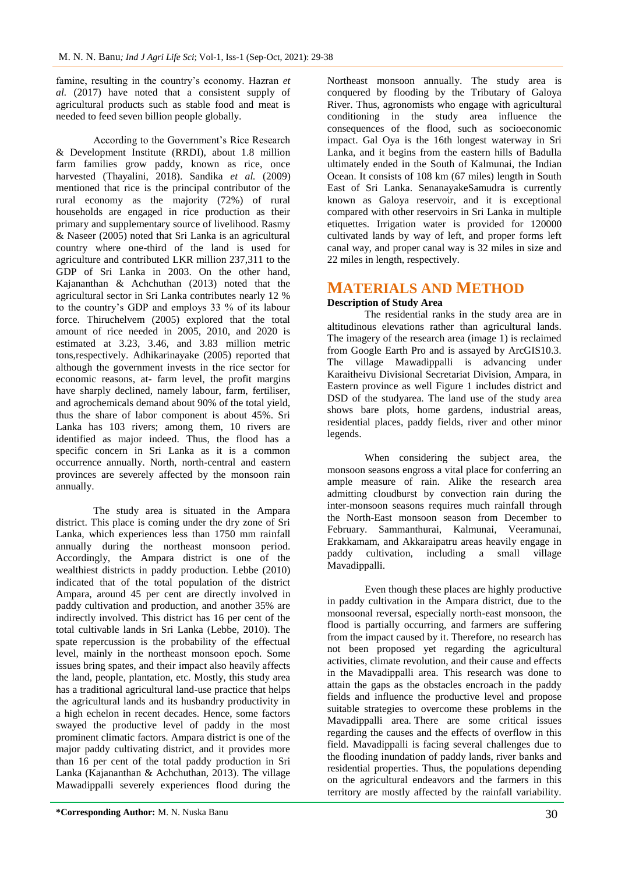famine, resulting in the country's economy. Hazran *et al.* (2017) have noted that a consistent supply of agricultural products such as stable food and meat is needed to feed seven billion people globally.

According to the Government's Rice Research & Development Institute (RRDI), about 1.8 million farm families grow paddy, known as rice, once harvested (Thayalini, 2018). Sandika *et al.* (2009) mentioned that rice is the principal contributor of the rural economy as the majority (72%) of rural households are engaged in rice production as their primary and supplementary source of livelihood. Rasmy & Naseer (2005) noted that Sri Lanka is an agricultural country where one-third of the land is used for agriculture and contributed LKR million 237,311 to the GDP of Sri Lanka in 2003. On the other hand, Kajananthan & Achchuthan (2013) noted that the agricultural sector in Sri Lanka contributes nearly 12 % to the country's GDP and employs 33 % of its labour force. Thiruchelvem (2005) explored that the total amount of rice needed in 2005, 2010, and 2020 is estimated at 3.23, 3.46, and 3.83 million metric tons,respectively. Adhikarinayake (2005) reported that although the government invests in the rice sector for economic reasons, at- farm level, the profit margins have sharply declined, namely labour, farm, fertiliser, and agrochemicals demand about 90% of the total yield, thus the share of labor component is about 45%. Sri Lanka has 103 rivers; among them, 10 rivers are identified as major indeed. Thus, the flood has a specific concern in Sri Lanka as it is a common occurrence annually. North, north-central and eastern provinces are severely affected by the monsoon rain annually.

The study area is situated in the Ampara district. This place is coming under the dry zone of Sri Lanka, which experiences less than 1750 mm rainfall annually during the northeast monsoon period. Accordingly, the Ampara district is one of the wealthiest districts in paddy production. Lebbe (2010) indicated that of the total population of the district Ampara, around 45 per cent are directly involved in paddy cultivation and production, and another 35% are indirectly involved. This district has 16 per cent of the total cultivable lands in Sri Lanka (Lebbe, 2010). The spate repercussion is the probability of the effectual level, mainly in the northeast monsoon epoch. Some issues bring spates, and their impact also heavily affects the land, people, plantation, etc. Mostly, this study area has a traditional agricultural land-use practice that helps the agricultural lands and its husbandry productivity in a high echelon in recent decades. Hence, some factors swayed the productive level of paddy in the most prominent climatic factors. Ampara district is one of the major paddy cultivating district, and it provides more than 16 per cent of the total paddy production in Sri Lanka (Kajananthan & Achchuthan, 2013). The village Mawadippalli severely experiences flood during the

Northeast monsoon annually. The study area is conquered by flooding by the Tributary of Galoya River. Thus, agronomists who engage with agricultural conditioning in the study area influence the consequences of the flood, such as socioeconomic impact. Gal Oya is the 16th longest waterway in Sri Lanka, and it begins from the eastern hills of Badulla ultimately ended in the South of Kalmunai, the Indian Ocean. It consists of 108 km (67 miles) length in South East of Sri Lanka. SenanayakeSamudra is currently known as Galoya reservoir, and it is exceptional compared with other reservoirs in Sri Lanka in multiple etiquettes. Irrigation water is provided for 120000 cultivated lands by way of left, and proper forms left canal way, and proper canal way is 32 miles in size and 22 miles in length, respectively.

# **MATERIALS AND METHOD**

## **Description of Study Area**

The residential ranks in the study area are in altitudinous elevations rather than agricultural lands. The imagery of the research area (image 1) is reclaimed from Google Earth Pro and is assayed by ArcGIS10.3. The village Mawadippalli is advancing under Karaitheivu Divisional Secretariat Division, Ampara, in Eastern province as well Figure 1 includes district and DSD of the studyarea. The land use of the study area shows bare plots, home gardens, industrial areas, residential places, paddy fields, river and other minor legends.

When considering the subject area, the monsoon seasons engross a vital place for conferring an ample measure of rain. Alike the research area admitting cloudburst by convection rain during the inter-monsoon seasons requires much rainfall through the North-East monsoon season from December to February. Sammanthurai, Kalmunai, Veeramunai, Erakkamam, and Akkaraipatru areas heavily engage in paddy cultivation, including a small village Mavadippalli.

Even though these places are highly productive in paddy cultivation in the Ampara district, due to the monsoonal reversal, especially north-east monsoon, the flood is partially occurring, and farmers are suffering from the impact caused by it. Therefore, no research has not been proposed yet regarding the agricultural activities, climate revolution, and their cause and effects in the Mavadippalli area. This research was done to attain the gaps as the obstacles encroach in the paddy fields and influence the productive level and propose suitable strategies to overcome these problems in the Mavadippalli area. There are some critical issues regarding the causes and the effects of overflow in this field. Mavadippalli is facing several challenges due to the flooding inundation of paddy lands, river banks and residential properties. Thus, the populations depending on the agricultural endeavors and the farmers in this territory are mostly affected by the rainfall variability.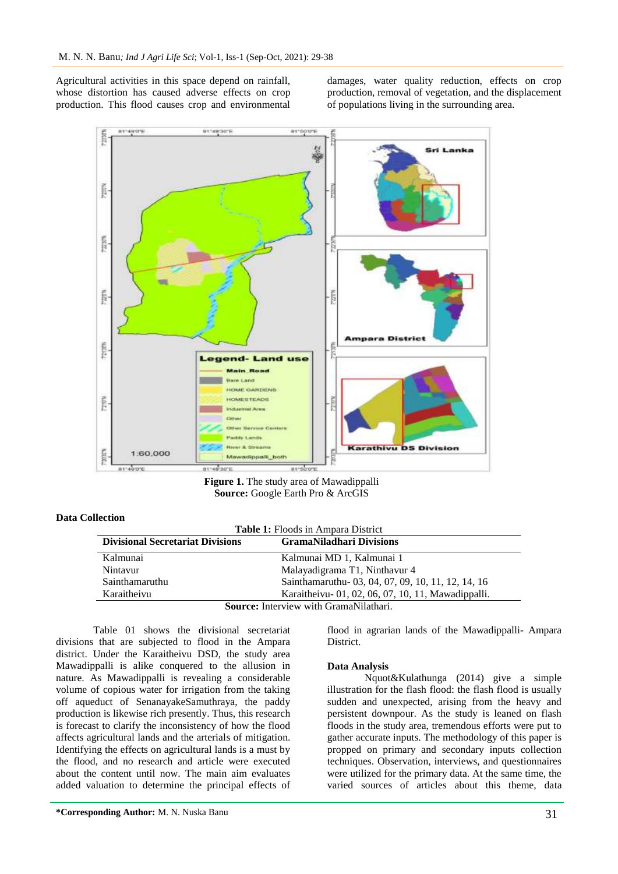Agricultural activities in this space depend on rainfall, whose distortion has caused adverse effects on crop production. This flood causes crop and environmental damages, water quality reduction, effects on crop production, removal of vegetation, and the displacement of populations living in the surrounding area.



**Figure 1.** The study area of Mawadippalli **Source:** Google Earth Pro & ArcGIS

## **Data Collection**

**Table 1:** Floods in Ampara District

| <b>Divisional Secretariat Divisions</b> | <b>GramaNiladhari Divisions</b>                     |
|-----------------------------------------|-----------------------------------------------------|
| Kalmunai                                | Kalmunai MD 1, Kalmunai 1                           |
| Nintavur                                | Malayadigrama T1, Ninthavur 4                       |
| Sainthamaruthu                          | Sainthamaruthu - 03, 04, 07, 09, 10, 11, 12, 14, 16 |
| Karaitheivu                             | Karaitheivu - 01, 02, 06, 07, 10, 11, Mawadippalli. |
|                                         | Source: Interview with GramaNilathari               |

**Source:** Interview with GramaNilathari.

Table 01 shows the divisional secretariat divisions that are subjected to flood in the Ampara district. Under the Karaitheivu DSD, the study area Mawadippalli is alike conquered to the allusion in nature. As Mawadippalli is revealing a considerable volume of copious water for irrigation from the taking off aqueduct of SenanayakeSamuthraya, the paddy production is likewise rich presently. Thus, this research is forecast to clarify the inconsistency of how the flood affects agricultural lands and the arterials of mitigation. Identifying the effects on agricultural lands is a must by the flood, and no research and article were executed about the content until now. The main aim evaluates added valuation to determine the principal effects of flood in agrarian lands of the Mawadippalli- Ampara District.

#### **Data Analysis**

Nquot&Kulathunga (2014) give a simple illustration for the flash flood: the flash flood is usually sudden and unexpected, arising from the heavy and persistent downpour. As the study is leaned on flash floods in the study area, tremendous efforts were put to gather accurate inputs. The methodology of this paper is propped on primary and secondary inputs collection techniques. Observation, interviews, and questionnaires were utilized for the primary data. At the same time, the varied sources of articles about this theme, data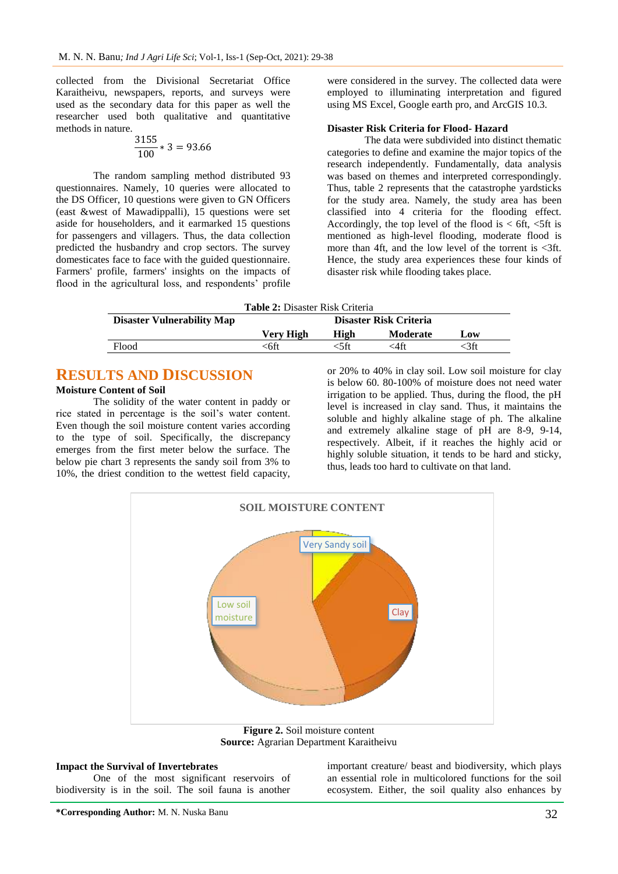collected from the Divisional Secretariat Office Karaitheivu, newspapers, reports, and surveys were used as the secondary data for this paper as well the researcher used both qualitative and quantitative methods in nature.

$$
\frac{3155}{100} * 3 = 93.66
$$

The random sampling method distributed 93 questionnaires. Namely, 10 queries were allocated to the DS Officer, 10 questions were given to GN Officers (east &west of Mawadippalli), 15 questions were set aside for householders, and it earmarked 15 questions for passengers and villagers. Thus, the data collection predicted the husbandry and crop sectors. The survey domesticates face to face with the guided questionnaire. Farmers' profile, farmers' insights on the impacts of flood in the agricultural loss, and respondents' profile

were considered in the survey. The collected data were employed to illuminating interpretation and figured using MS Excel, Google earth pro, and ArcGIS 10.3.

#### **Disaster Risk Criteria for Flood- Hazard**

The data were subdivided into distinct thematic categories to define and examine the major topics of the research independently. Fundamentally, data analysis was based on themes and interpreted correspondingly. Thus, table 2 represents that the catastrophe yardsticks for the study area. Namely, the study area has been classified into 4 criteria for the flooding effect. Accordingly, the top level of the flood is  $\lt$  6ft,  $\lt$ 5ft is mentioned as high-level flooding, moderate flood is more than 4ft, and the low level of the torrent is  $\langle 3f$ . Hence, the study area experiences these four kinds of disaster risk while flooding takes place.

**Table 2:** Disaster Risk Criteria

| <b>Disaster Vulnerability Map</b> | <b>Disaster Risk Criteria</b> |      |                 |      |
|-----------------------------------|-------------------------------|------|-----------------|------|
|                                   | Verv High                     | High | <b>Moderate</b> | Low  |
| Flood                             | ≤6ft                          | ≤5ft | <4ft            | :3ft |

## **RESULTS AND DISCUSSION**

## **Moisture Content of Soil**

The solidity of the water content in paddy or rice stated in percentage is the soil's water content. Even though the soil moisture content varies according to the type of soil. Specifically, the discrepancy emerges from the first meter below the surface. The below pie chart 3 represents the sandy soil from 3% to 10%, the driest condition to the wettest field capacity,

or 20% to 40% in clay soil. Low soil moisture for clay is below 60. 80-100% of moisture does not need water irrigation to be applied. Thus, during the flood, the pH level is increased in clay sand. Thus, it maintains the soluble and highly alkaline stage of ph. The alkaline and extremely alkaline stage of pH are 8-9, 9-14, respectively. Albeit, if it reaches the highly acid or highly soluble situation, it tends to be hard and sticky, thus, leads too hard to cultivate on that land.



**Figure 2.** Soil moisture content **Source:** Agrarian Department Karaitheivu

#### **Impact the Survival of Invertebrates**

One of the most significant reservoirs of biodiversity is in the soil. The soil fauna is another

important creature/ beast and biodiversity, which plays an essential role in multicolored functions for the soil ecosystem. Either, the soil quality also enhances by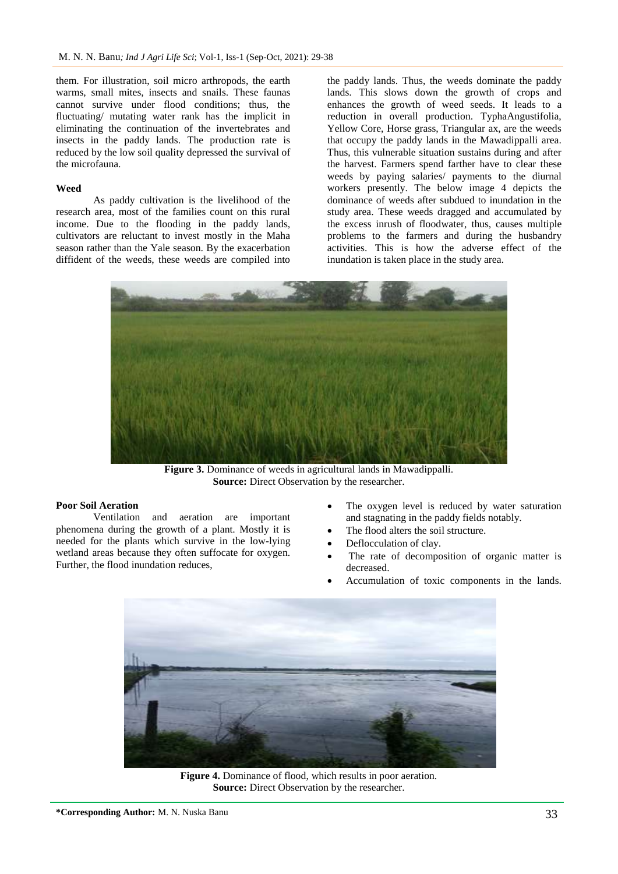them. For illustration, soil micro arthropods, the earth warms, small mites, insects and snails. These faunas cannot survive under flood conditions; thus, the fluctuating/ mutating water rank has the implicit in eliminating the continuation of the invertebrates and insects in the paddy lands. The production rate is reduced by the low soil quality depressed the survival of the microfauna.

#### **Weed**

As paddy cultivation is the livelihood of the research area, most of the families count on this rural income. Due to the flooding in the paddy lands, cultivators are reluctant to invest mostly in the Maha season rather than the Yale season. By the exacerbation diffident of the weeds, these weeds are compiled into

the paddy lands. Thus, the weeds dominate the paddy lands. This slows down the growth of crops and enhances the growth of weed seeds. It leads to a reduction in overall production. TyphaAngustifolia, Yellow Core, Horse grass, Triangular ax, are the weeds that occupy the paddy lands in the Mawadippalli area. Thus, this vulnerable situation sustains during and after the harvest. Farmers spend farther have to clear these weeds by paying salaries/ payments to the diurnal workers presently. The below image 4 depicts the dominance of weeds after subdued to inundation in the study area. These weeds dragged and accumulated by the excess inrush of floodwater, thus, causes multiple problems to the farmers and during the husbandry activities. This is how the adverse effect of the inundation is taken place in the study area.



**Figure 3.** Dominance of weeds in agricultural lands in Mawadippalli. **Source:** Direct Observation by the researcher.

## **Poor Soil Aeration**

Ventilation and aeration are important phenomena during the growth of a plant. Mostly it is needed for the plants which survive in the low-lying wetland areas because they often suffocate for oxygen. Further, the flood inundation reduces,

- The oxygen level is reduced by water saturation and stagnating in the paddy fields notably.
- The flood alters the soil structure.
- Deflocculation of clay.
- The rate of decomposition of organic matter is decreased.
- Accumulation of toxic components in the lands.



**Figure 4.** Dominance of flood, which results in poor aeration. **Source:** Direct Observation by the researcher.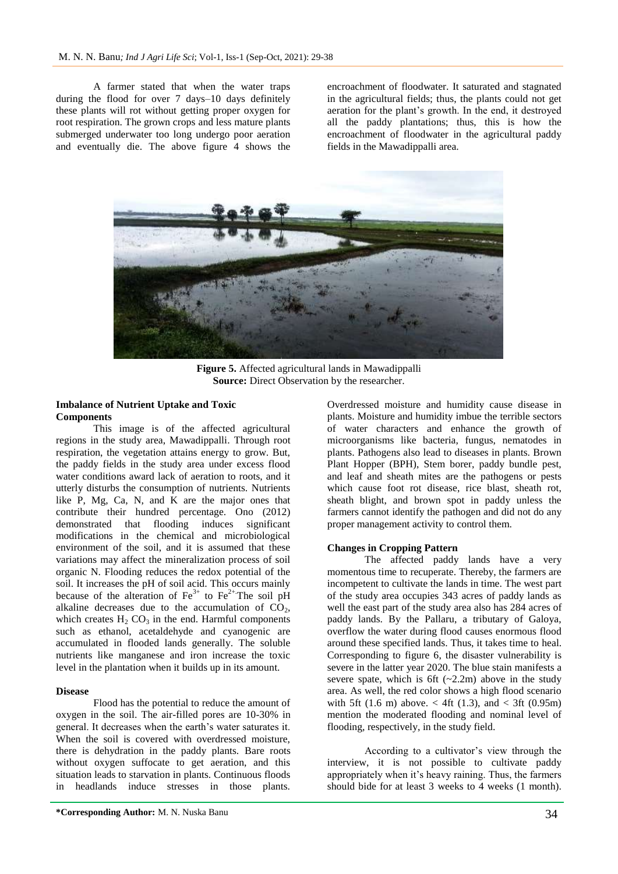A farmer stated that when the water traps during the flood for over 7 days–10 days definitely these plants will rot without getting proper oxygen for root respiration. The grown crops and less mature plants submerged underwater too long undergo poor aeration and eventually die. The above figure 4 shows the encroachment of floodwater. It saturated and stagnated in the agricultural fields; thus, the plants could not get aeration for the plant's growth. In the end, it destroyed all the paddy plantations; thus, this is how the encroachment of floodwater in the agricultural paddy fields in the Mawadippalli area.



**Figure 5.** Affected agricultural lands in Mawadippalli **Source:** Direct Observation by the researcher.

### **Imbalance of Nutrient Uptake and Toxic Components**

This image is of the affected agricultural regions in the study area, Mawadippalli. Through root respiration, the vegetation attains energy to grow. But, the paddy fields in the study area under excess flood water conditions award lack of aeration to roots, and it utterly disturbs the consumption of nutrients. Nutrients like P, Mg, Ca, N, and  $\tilde{K}$  are the major ones that contribute their hundred percentage. Ono (2012) demonstrated that flooding induces significant modifications in the chemical and microbiological environment of the soil, and it is assumed that these variations may affect the mineralization process of soil organic N. Flooding reduces the redox potential of the soil. It increases the pH of soil acid. This occurs mainly because of the alteration of  $Fe^{3+}$  to  $Fe^{2+}$ . The soil pH alkaline decreases due to the accumulation of  $CO<sub>2</sub>$ , which creates  $H_2$  CO<sub>3</sub> in the end. Harmful components such as ethanol, acetaldehyde and cyanogenic are accumulated in flooded lands generally. The soluble nutrients like manganese and iron increase the toxic level in the plantation when it builds up in its amount.

#### **Disease**

Flood has the potential to reduce the amount of oxygen in the soil. The air-filled pores are 10-30% in general. It decreases when the earth's water saturates it. When the soil is covered with overdressed moisture, there is dehydration in the paddy plants. Bare roots without oxygen suffocate to get aeration, and this situation leads to starvation in plants. Continuous floods in headlands induce stresses in those plants.

Overdressed moisture and humidity cause disease in plants. Moisture and humidity imbue the terrible sectors of water characters and enhance the growth of microorganisms like bacteria, fungus, nematodes in plants. Pathogens also lead to diseases in plants. Brown Plant Hopper (BPH), Stem borer, paddy bundle pest, and leaf and sheath mites are the pathogens or pests which cause foot rot disease, rice blast, sheath rot, sheath blight, and brown spot in paddy unless the farmers cannot identify the pathogen and did not do any proper management activity to control them.

#### **Changes in Cropping Pattern**

The affected paddy lands have a very momentous time to recuperate. Thereby, the farmers are incompetent to cultivate the lands in time. The west part of the study area occupies 343 acres of paddy lands as well the east part of the study area also has 284 acres of paddy lands. By the Pallaru, a tributary of Galoya, overflow the water during flood causes enormous flood around these specified lands. Thus, it takes time to heal. Corresponding to figure 6, the disaster vulnerability is severe in the latter year 2020. The blue stain manifests a severe spate, which is 6ft  $(-2.2m)$  above in the study area. As well, the red color shows a high flood scenario with 5ft (1.6 m) above.  $\lt$  4ft (1.3), and  $\lt$  3ft (0.95m) mention the moderated flooding and nominal level of flooding, respectively, in the study field.

According to a cultivator's view through the interview, it is not possible to cultivate paddy appropriately when it's heavy raining. Thus, the farmers should bide for at least 3 weeks to 4 weeks (1 month).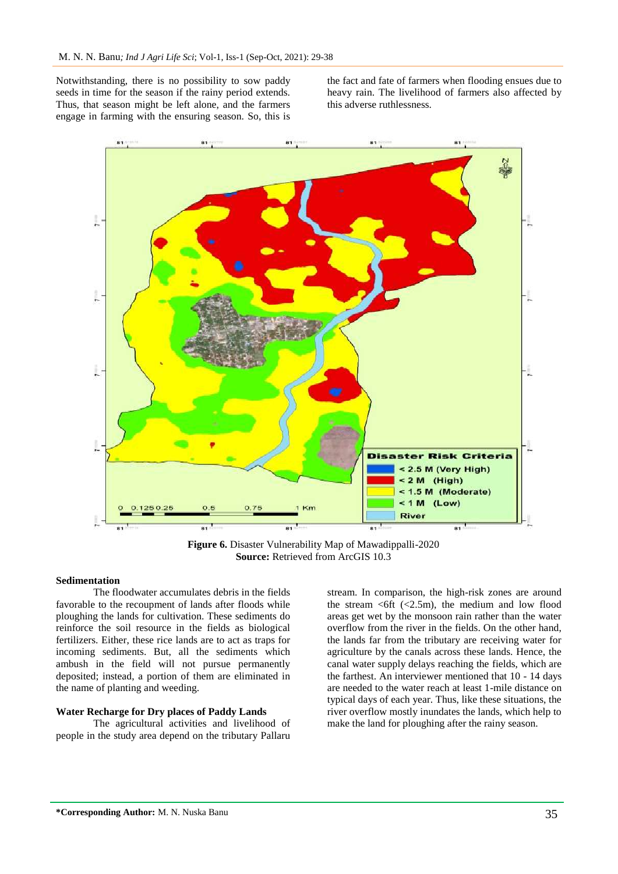Notwithstanding, there is no possibility to sow paddy seeds in time for the season if the rainy period extends. Thus, that season might be left alone, and the farmers engage in farming with the ensuring season. So, this is

the fact and fate of farmers when flooding ensues due to heavy rain. The livelihood of farmers also affected by this adverse ruthlessness.



**Figure 6.** Disaster Vulnerability Map of Mawadippalli-2020 **Source:** Retrieved from ArcGIS 10.3

### **Sedimentation**

The floodwater accumulates debris in the fields favorable to the recoupment of lands after floods while ploughing the lands for cultivation. These sediments do reinforce the soil resource in the fields as biological fertilizers. Either, these rice lands are to act as traps for incoming sediments. But, all the sediments which ambush in the field will not pursue permanently deposited; instead, a portion of them are eliminated in the name of planting and weeding.

## **Water Recharge for Dry places of Paddy Lands**

The agricultural activities and livelihood of people in the study area depend on the tributary Pallaru

stream. In comparison, the high-risk zones are around the stream  $\leq 6$ ft ( $\leq 2.5$ m), the medium and low flood areas get wet by the monsoon rain rather than the water overflow from the river in the fields. On the other hand, the lands far from the tributary are receiving water for agriculture by the canals across these lands. Hence, the canal water supply delays reaching the fields, which are the farthest. An interviewer mentioned that 10 - 14 days are needed to the water reach at least 1-mile distance on typical days of each year. Thus, like these situations, the river overflow mostly inundates the lands, which help to make the land for ploughing after the rainy season.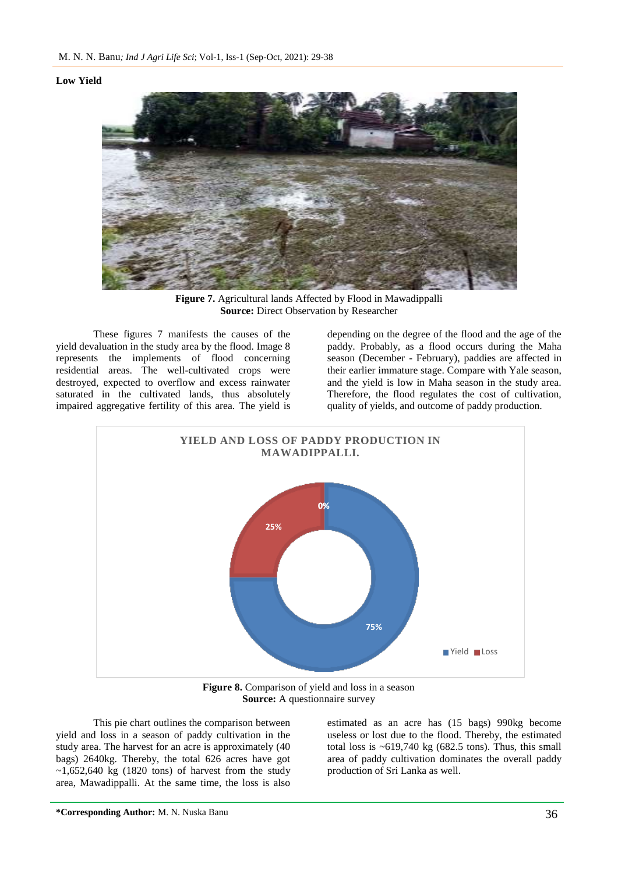## **Low Yield**



**Figure 7.** Agricultural lands Affected by Flood in Mawadippalli **Source:** Direct Observation by Researcher

These figures 7 manifests the causes of the yield devaluation in the study area by the flood. Image 8 represents the implements of flood concerning residential areas. The well-cultivated crops were destroyed, expected to overflow and excess rainwater saturated in the cultivated lands, thus absolutely impaired aggregative fertility of this area. The yield is

depending on the degree of the flood and the age of the paddy. Probably, as a flood occurs during the Maha season (December - February), paddies are affected in their earlier immature stage. Compare with Yale season, and the yield is low in Maha season in the study area. Therefore, the flood regulates the cost of cultivation, quality of yields, and outcome of paddy production.



**Figure 8.** Comparison of yield and loss in a season **Source:** A questionnaire survey

This pie chart outlines the comparison between yield and loss in a season of paddy cultivation in the study area. The harvest for an acre is approximately (40 bags) 2640kg. Thereby, the total 626 acres have got  $\sim$ 1,652,640 kg (1820 tons) of harvest from the study area, Mawadippalli. At the same time, the loss is also

estimated as an acre has (15 bags) 990kg become useless or lost due to the flood. Thereby, the estimated total loss is  $\sim 619,740$  kg (682.5 tons). Thus, this small area of paddy cultivation dominates the overall paddy production of Sri Lanka as well.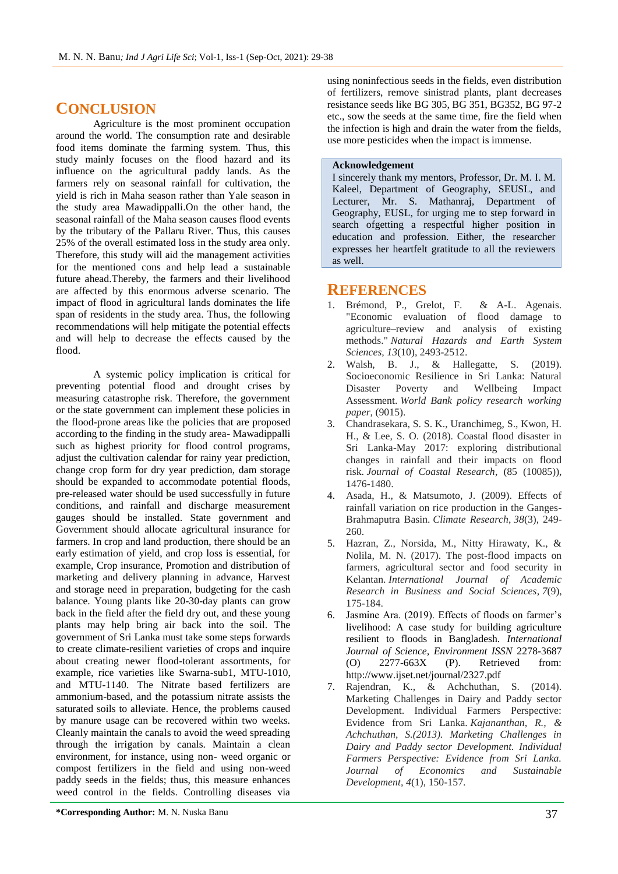## **CONCLUSION**

Agriculture is the most prominent occupation around the world. The consumption rate and desirable food items dominate the farming system. Thus, this study mainly focuses on the flood hazard and its influence on the agricultural paddy lands. As the farmers rely on seasonal rainfall for cultivation, the yield is rich in Maha season rather than Yale season in the study area Mawadippalli.On the other hand, the seasonal rainfall of the Maha season causes flood events by the tributary of the Pallaru River. Thus, this causes 25% of the overall estimated loss in the study area only. Therefore, this study will aid the management activities for the mentioned cons and help lead a sustainable future ahead.Thereby, the farmers and their livelihood are affected by this enormous adverse scenario. The impact of flood in agricultural lands dominates the life span of residents in the study area. Thus, the following recommendations will help mitigate the potential effects and will help to decrease the effects caused by the flood.

A systemic policy implication is critical for preventing potential flood and drought crises by measuring catastrophe risk. Therefore, the government or the state government can implement these policies in the flood-prone areas like the policies that are proposed according to the finding in the study area- Mawadippalli such as highest priority for flood control programs, adjust the cultivation calendar for rainy year prediction, change crop form for dry year prediction, dam storage should be expanded to accommodate potential floods, pre-released water should be used successfully in future conditions, and rainfall and discharge measurement gauges should be installed. State government and Government should allocate agricultural insurance for farmers. In crop and land production, there should be an early estimation of yield, and crop loss is essential, for example, Crop insurance, Promotion and distribution of marketing and delivery planning in advance, Harvest and storage need in preparation, budgeting for the cash balance. Young plants like 20-30-day plants can grow back in the field after the field dry out, and these young plants may help bring air back into the soil. The government of Sri Lanka must take some steps forwards to create climate-resilient varieties of crops and inquire about creating newer flood-tolerant assortments, for example, rice varieties like Swarna-sub1, MTU-1010, and MTU-1140. The Nitrate based fertilizers are ammonium-based, and the potassium nitrate assists the saturated soils to alleviate. Hence, the problems caused by manure usage can be recovered within two weeks. Cleanly maintain the canals to avoid the weed spreading through the irrigation by canals. Maintain a clean environment, for instance, using non- weed organic or compost fertilizers in the field and using non-weed paddy seeds in the fields; thus, this measure enhances weed control in the fields. Controlling diseases via

using noninfectious seeds in the fields, even distribution of fertilizers, remove sinistrad plants, plant decreases resistance seeds like BG 305, BG 351, BG352, BG 97-2 etc., sow the seeds at the same time, fire the field when the infection is high and drain the water from the fields, use more pesticides when the impact is immense.

## **Acknowledgement**

I sincerely thank my mentors, Professor, Dr. M. I. M. Kaleel, Department of Geography, SEUSL, and Lecturer, Mr. S. Mathanraj, Department of Geography, EUSL, for urging me to step forward in search ofgetting a respectful higher position in education and profession. Either, the researcher expresses her heartfelt gratitude to all the reviewers as well.

## **REFERENCES**

- 1. Brémond, P., Grelot, F. & A-L. Agenais. "Economic evaluation of flood damage to agriculture–review and analysis of existing methods." *Natural Hazards and Earth System Sciences, 13*(10), 2493-2512.
- 2. Walsh, B. J., & Hallegatte, S. (2019). Socioeconomic Resilience in Sri Lanka: Natural Disaster Poverty and Wellbeing Impact Assessment. *World Bank policy research working paper*, (9015).
- 3. Chandrasekara, S. S. K., Uranchimeg, S., Kwon, H. H., & Lee, S. O. (2018). Coastal flood disaster in Sri Lanka-May 2017: exploring distributional changes in rainfall and their impacts on flood risk. *Journal of Coastal Research*, (85 (10085)), 1476-1480.
- 4. Asada, H., & Matsumoto, J. (2009). Effects of rainfall variation on rice production in the Ganges-Brahmaputra Basin. *Climate Research*, *38*(3), 249- 260.
- 5. Hazran, Z., Norsida, M., Nitty Hirawaty, K., & Nolila, M. N. (2017). The post-flood impacts on farmers, agricultural sector and food security in Kelantan. *International Journal of Academic Research in Business and Social Sciences*, *7*(9), 175-184.
- 6. Jasmine Ara. (2019). Effects of floods on farmer's livelihood: A case study for building agriculture resilient to floods in Bangladesh. *International Journal of Science, Environment ISSN* 2278-3687 (O) 2277-663X (P). Retrieved from: http://www.ijset.net/journal/2327.pdf
- 7. Rajendran, K., & Achchuthan, S. (2014). Marketing Challenges in Dairy and Paddy sector Development. Individual Farmers Perspective: Evidence from Sri Lanka. *Kajananthan, R., & Achchuthan, S.(2013). Marketing Challenges in Dairy and Paddy sector Development. Individual Farmers Perspective: Evidence from Sri Lanka. Journal of Economics and Sustainable Development*, *4*(1), 150-157.

**\*Corresponding Author:** M. N. Nuska Banu 37